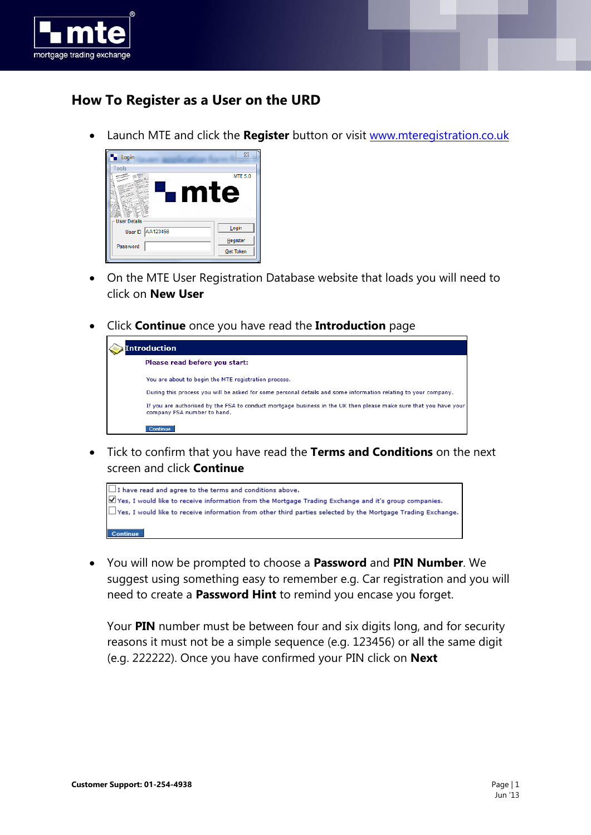

## **How To Register as a User on the URD**

Launch MTE and click the **Register** button or visit [www.mteregistration.co.uk](http://www.mteregistration.co.uk/)



- On the MTE User Registration Database website that loads you will need to click on **New User**
- Click **Continue** once you have read the **Introduction** page

| Introduction                                                                                                                                    |  |  |
|-------------------------------------------------------------------------------------------------------------------------------------------------|--|--|
| Please read before you start:                                                                                                                   |  |  |
| You are about to begin the MTE registration process.                                                                                            |  |  |
| During this process you will be asked for some personal details and some information relating to your company.                                  |  |  |
| If you are authorised by the FSA to conduct mortgage business in the UK then please make sure that you have your<br>company FSA number to hand. |  |  |
| Continue                                                                                                                                        |  |  |

 Tick to confirm that you have read the **Terms and Conditions** on the next screen and click **Continue**



 You will now be prompted to choose a **Password** and **PIN Number**. We suggest using something easy to remember e.g. Car registration and you will need to create a **Password Hint** to remind you encase you forget.

Your **PIN** number must be between four and six digits long, and for security reasons it must not be a simple sequence (e.g. 123456) or all the same digit (e.g. 222222). Once you have confirmed your PIN click on **Next**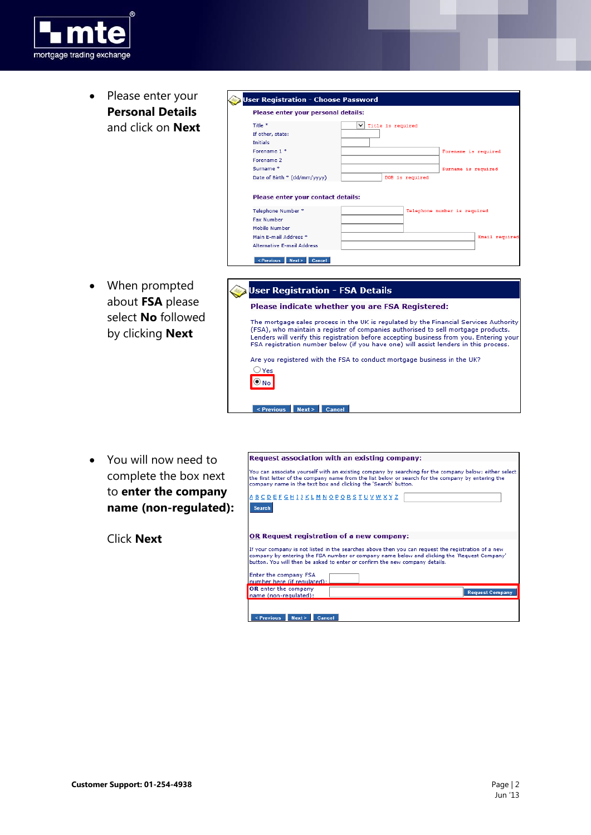

• Please enter your **Personal Details** and click on **Next**

| Please enter your personal details:                                                                                                                                                   |                                                                                          |
|---------------------------------------------------------------------------------------------------------------------------------------------------------------------------------------|------------------------------------------------------------------------------------------|
| Title <sup>*</sup><br>If other, state:<br><b>Initials</b><br>Forename 1 *<br>Forename 2<br>Surname <sup>*</sup><br>Date of Birth * (dd/mm/yyyy)<br>Please enter your contact details: | ◡<br>Title is required<br>Forename is required<br>Surname is required<br>DOB is required |
| Telephone Number *<br><b>Fax Number</b><br>Mobile Number<br>Main F-mail Address *                                                                                                     | Telephone number is required<br>Email required                                           |
| <b>Alternative E-mail Address</b><br>< Previous<br>Next ><br>Cancel                                                                                                                   |                                                                                          |

 When prompted about **FSA** please select **No** followed by clicking **Next**

| User Registration - FSA Details                                                                                                                                                                                                                                                                                                                               |
|---------------------------------------------------------------------------------------------------------------------------------------------------------------------------------------------------------------------------------------------------------------------------------------------------------------------------------------------------------------|
| Please indicate whether you are FSA Registered:                                                                                                                                                                                                                                                                                                               |
| The mortgage sales process in the UK is regulated by the Financial Services Authority<br>(FSA), who maintain a register of companies authorised to sell mortgage products.<br>Lenders will verify this registration before accepting business from you. Entering your<br>FSA registration number below (if you have one) will assist lenders in this process. |
| Are you registered with the FSA to conduct mortgage business in the UK?                                                                                                                                                                                                                                                                                       |
| Yes                                                                                                                                                                                                                                                                                                                                                           |
|                                                                                                                                                                                                                                                                                                                                                               |

<Previous Next> Cancel

 You will now need to complete the box next to **enter the company name (non-regulated):**

Click **Next**

|                                                                                                                                                                                                                                                                               | Request association with an existing company:                                                                                                                                                                                                                                    |  |
|-------------------------------------------------------------------------------------------------------------------------------------------------------------------------------------------------------------------------------------------------------------------------------|----------------------------------------------------------------------------------------------------------------------------------------------------------------------------------------------------------------------------------------------------------------------------------|--|
| You can associate yourself with an existing company by searching for the company below; either select<br>the first letter of the company name from the list below or search for the company by entering the<br>company name in the text box and clicking the 'Search' button. |                                                                                                                                                                                                                                                                                  |  |
| <u>A B C D E F G H I J K L M N O P Q R S T U V W X Y Z</u><br><b>Search</b>                                                                                                                                                                                                   |                                                                                                                                                                                                                                                                                  |  |
|                                                                                                                                                                                                                                                                               | OR Request registration of a new company:                                                                                                                                                                                                                                        |  |
|                                                                                                                                                                                                                                                                               |                                                                                                                                                                                                                                                                                  |  |
|                                                                                                                                                                                                                                                                               | If your company is not listed in the searches above then you can request the registration of a new<br>company by entering the FSA number or company name below and clicking the 'Request Company'<br>button. You will then be asked to enter or confirm the new company details. |  |
| Enter the company FSA<br>number here (if regulated):                                                                                                                                                                                                                          |                                                                                                                                                                                                                                                                                  |  |